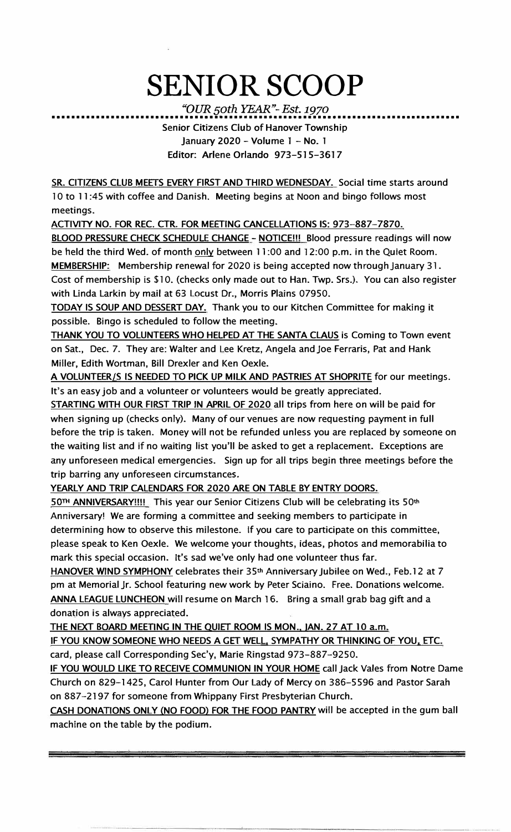## **SENIOR SCOOP**

*"OUR 50th YEAR"-Est. 1970*  •••••••••••••••••••••••••••••••••••••••••••••••••••••••••••••••••••••••••••••••••••

Senior Citizens Club of Hanover Township January 2020 - Volume 1 - No. 1 Editor: Arlene Orlando 973-515-3617

SR. CITIZENS CLUB MEETS EVERY FIRST AND THIRD WEDNESDAY. Social time starts around 10 to 11 :45 with coffee and Danish. Meeting begins at Noon and bingo follows most meetings.

ACTIVITY NO. FOR REC. CTR. FOR MEETING CANCELLATIONS IS: 973-887-7870.

BLOOD PRESSURE CHECK SCHEDULE CHANGE - NOTICE!!! Blood pressure readings will now be held the third Wed. of month only between 11:00 and 12:00 p.m. in the Quiet Room. MEMBERSHIP: Membership renewal for 2020 is being accepted now through January 31. Cost of membership is \$10. (checks only made out to Han. Twp. Srs.). You can also register with Linda Larkin by mail at 63 Locust Dr., Morris Plains 07950.

TODAY IS SOUP AND DESSERT DAY. Thank you to our Kitchen Committee for making it possible. Bingo is scheduled to follow the meeting.

THANK YOU TO VOLUNTEERS WHO HELPED AT THE SANTA CLAUS is Coming to Town event on Sat., Dec. 7. They are: Walter and Lee Kretz, Angela and Joe Ferraris, Pat and Hank Miller, Edith Wortman, Bill Drexler and Ken Oexle.

A VOLUNTEER/S IS NEEDED TO PICK UP MILK AND PASTRIES AT SHOPRITE for our meetings. It's an easy job and a volunteer or volunteers would be greatly appreciated.

STARTING WITH OUR FIRST TRIP IN APRIL OF 2020 all trips from here on will be paid for when signing up (checks only). Many of our venues are now requesting payment in full before the trip is taken. Money will not be refunded unless you are replaced by someone on the waiting list and if no waiting list you'll be asked to get a replacement. Exceptions are any unforeseen medical emergencies. Sign up for all trips begin three meetings before the trip barring any unforeseen circumstances.

YEARLY AND TRIP CALENDARS FOR 2020 ARE ON TABLE BY ENTRY DOORS.

50TH ANNIVERSARY!!!! This year our Senior Citizens Club will be celebrating its 50th Anniversary! We are forming a committee and seeking members to participate in determining how to observe this milestone. If you care to participate on this committee, please speak to Ken Oexle. We welcome your thoughts, ideas, photos and memorabilia to mark this special occasion. It's sad we've only had one volunteer thus far.

**HANOVER WIND SYMPHONY** celebrates their 35th Anniversary Jubilee on Wed., Feb.12 at 7 pm at Memorial Jr. School featuring new work by Peter Sciaino. Free. Donations welcome. ANNA LEAGUE LUNCHEON will resume on March 16. Bring a small grab bag gift and a donation is always appreciated.

THE NEXT BOARD MEETING IN THE QUIET ROOM IS MON., JAN. 27 AT 10 a.m.

IF YOU KNOW SOMEONE WHO NEEDS A GET WELL, SYMPATHY OR THINKING OF YOU, ETC. card, please call Corresponding Sec'y, Marie Ringstad 973-887-9250.

IF YOU WOULD LIKE TO RECEIVE COMMUNION IN YOUR HOME call Jack Vales from Notre Dame Church on 829-1425, Carol Hunter from Our Lady of Mercy on 386-5596 and Pastor Sarah on 887-2197 for someone from Whippany First Presbyterian Church.

CASH DONATIONS ONLY (NO FOOD) FOR THE FOOD PANTRY will be accepted in the gum ball machine on the table by the podium.